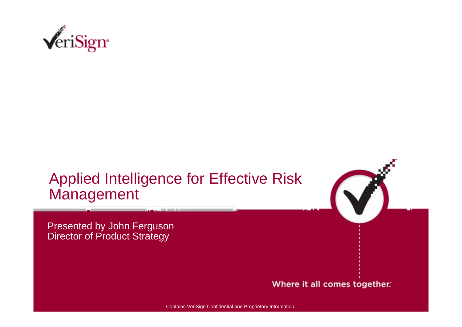

## Applied Intelligence for Effective Risk Management



Presented by John Ferguson **Director of Product Strategy** 

#### Where it all comes together.

Contains VeriSign Confidential and Proprietary Information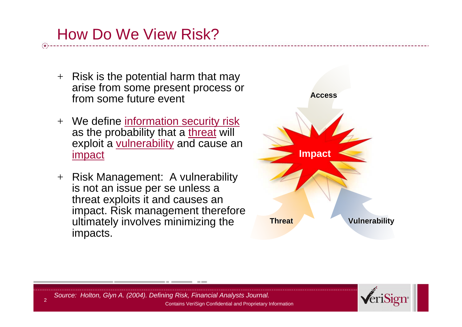# How Do We View Risk?

- $+$  Risk is the potential harm that may arise from some present process or from some future event
- + We define information security risk as the probability that a [threat](http://www.answers.com/main/ntquery;jsessionid=18k9m9m97eldb?method=4&dsid=2222&dekey=Threat&gwp=8&curtab=2222_1&sbid=lc05b) will exploit a [vulnerability](http://www.answers.com/main/ntquery;jsessionid=18k9m9m97eldb?method=4&dsid=2222&dekey=Vulnerability&gwp=8&curtab=2222_1&sbid=lc05b) and cause an [impact](http://www.answers.com/main/ntquery;jsessionid=18k9m9m97eldb?method=4&dsid=2222&dekey=Impact&gwp=8&curtab=2222_1&sbid=lc05b)
- + Risk Management: A vulnerability is not an issue per se unless a threat exploits it and causes an impact. Risk management therefore ultimately involves minimizing the impacts.





Contains VeriSign Confidential and Proprietary Information *Source: Holton, Glyn A. (2004). Defining Risk, Financial Analysts Journal.*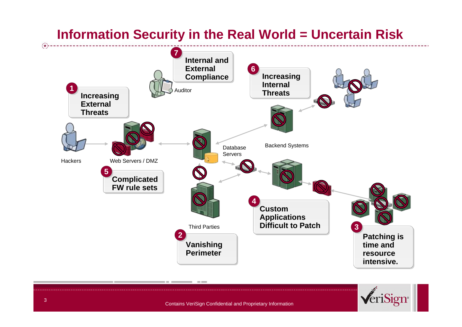## **Information Security in the Real World = Uncertain Risk**





 $\left( \frac{1}{2} \right)$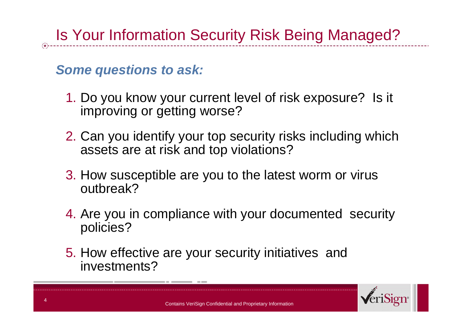## *Some questions to ask:*

- 1. Do you know your current level of risk exposure? Is it improving or getting worse?
- 2. Can you identify your top security risks including which assets are at risk and top violations?
- 3. How susceptible are you to the latest worm or virus outbreak?
- 4. Are you in compliance with your documented security policies?
- 5. How effective are your security initiatives and investments?

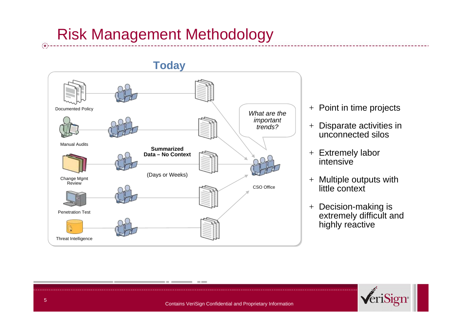# Risk Management Methodology



- $+ \,$  Point in time projects
- + Disparate activities in unconnected silos
- + Extremely labor intensive
- $+$  Multiple outputs with  $$ little context
- + Decision-making is extremely difficult and highly reactive



 $\left( \frac{1}{2} \right)$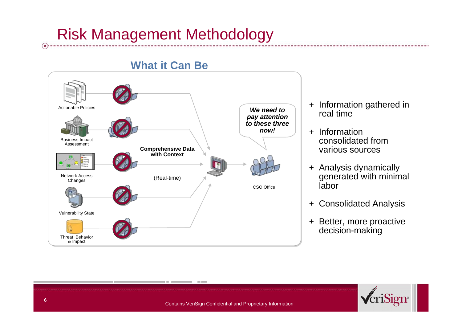# Risk Management Methodology



#### **What it Can Be**

- + Information gathered in real time
- + Information consolidated from various sources
- + Analysis dynamically generated with minimal labor
- $+$ Consolidated Analysis
- + Better, more proactive decision-making



 $\left( \frac{1}{\mathbf{X}}\right)$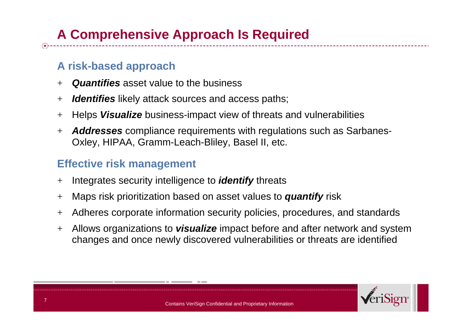### **A risk-based approach**

- +*Quantifies* asset value to the business
- $+$ *Identifies* likely attack sources and access paths;
- +Helps *Visualize* business-impact view of threats and vulnerabilities
- $+$  *Addresses* compliance requirements with regulations such as Sarbanes-Oxley, HIPAA, Gramm-Leach-Bliley, Basel II, etc.

### **Effective risk management**

- $+$ Integrates security intelligence to *identify* threats
- $+$ Maps risk prioritization based on asset values to *quantify* risk
- $+$ Adheres corporate information security policies, procedures, and standards
- $+$  Allows organizations to *visualize* impact before and after network and system changes and once newly discovered vulnerabilities or threats are identified

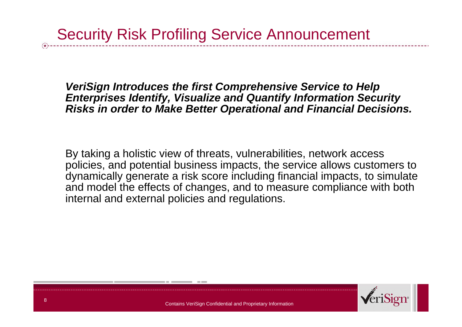*VeriSign Introduces the first Comprehensive Service to Help Enterprises Identify, Visualize and Quantify Information Security Risks in order to Make Better Operational and Financial Decisions.*

By taking a holistic view of threats, vulnerabilities, network access policies, and potential business impacts, the service allows customers to dynamically generate a risk score including financial impacts, to simulate and model the effects of changes, and to measure compliance with both internal and external policies and regulations.

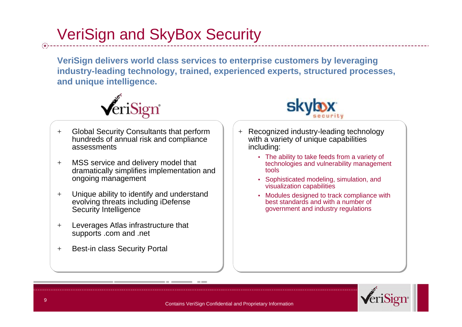# VeriSign and SkyBox Security

**VeriSign delivers world class services to enterprise customers by leveraging industry-leading technology, trained, experienced experts, structured processes, and unique intelligence.**



- $+$  Global Security Consultants that perform hundreds of annual risk and compliance assessments
- $+$  MSS service and delivery model that dramatically simplifies implementation and ongoing management
- $+$  Unique ability to identify and understand evolving threats including iDefense Security Intelligence
- $+$  Leverages Atlas infrastructure that supports .com and .net
- $+$ Best-in class Security Portal



- + Recognized industry-leading technology with a variety of unique capabilities including:
	- The ability to take feeds from a variety of technologies and vulnerability management tools
	- Sophisticated modeling, simulation, and visualization capabilities
	- Modules designed to track compliance with best standards and with a number ofgovernment and industry regulations

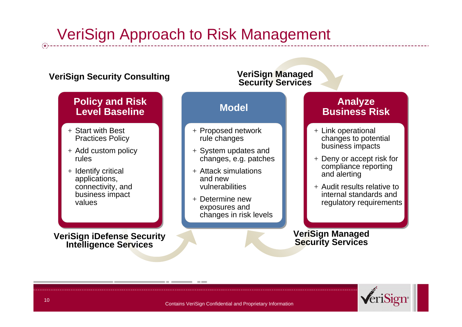# VeriSign Approach to Risk Management

#### **VeriSign Security Consulting**

#### **Policy and Risk Level Baseline**

- + Start with Best Practices Policy
- + Add custom policy rules
- + Identify critical applications, connectivity, and business impact values

**VeriSign iDefense Security Intelligence Services**

#### **Model**+ Proposed network rule changes + System updates and changes, e.g. patches  $+$  Attack simulations  $\overline{\phantom{a}}$ and new **Analyze Business Risk**+ Link operational changes to potential business impacts + Deny or accept risk for compliance reporting and alerting **VeriSign Managed Security Services**

#### $+$  Audit results relative to internal standards and regulatory requirements

#### **VeriSign Managed Security Services**



vulnerabilities

+ Determine new exposures and

changes in risk levels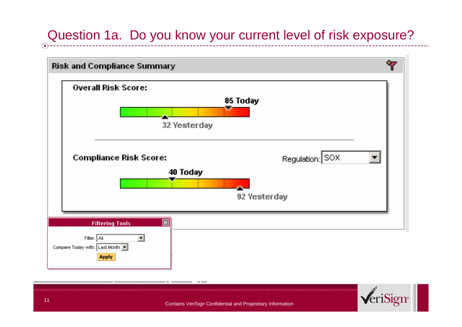## Question 1a. Do you know your current level of risk exposure?



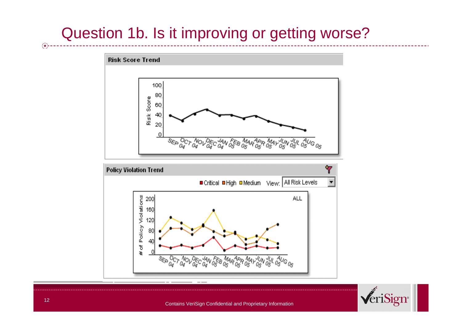# Question 1b. Is it improving or getting worse?







Contains VeriSign Confidential and Proprietary Information

 $\circledast$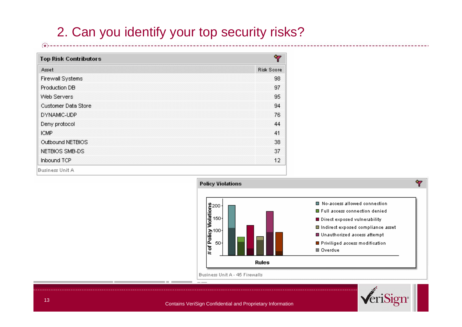## 2. Can you identify your top security risks?

| Ÿ<br><b>Top Risk Contributors</b> |                   |  |  |  |  |
|-----------------------------------|-------------------|--|--|--|--|
| Asset                             | <b>Risk Score</b> |  |  |  |  |
| Firewall Systems                  | 98                |  |  |  |  |
| Production DB                     | 97                |  |  |  |  |
| Web Servers                       | 95                |  |  |  |  |
| Customer Data Store               | 94                |  |  |  |  |
| DYNAMIC-UDP                       | 76                |  |  |  |  |
| Deny protocol                     | 44                |  |  |  |  |
| <b>ICMP</b>                       | 41                |  |  |  |  |
| Outbound NETBIOS                  | 38                |  |  |  |  |
| NETBIOS SMB-DS                    | 37                |  |  |  |  |
| Inbound TCP                       | 12                |  |  |  |  |





€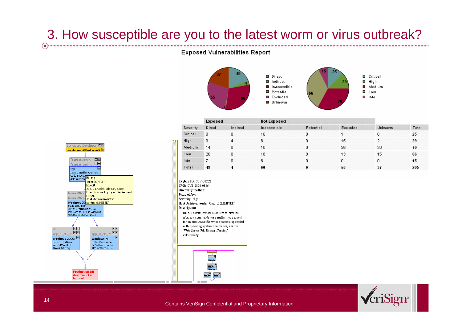### 3. How susceptible are you to the latest worm or virus outbreak?

#### **Exposed Vulnerabilities Report**



| Severity | Exposed |          | <b>Not Exposed</b> |           |          |                |       |
|----------|---------|----------|--------------------|-----------|----------|----------------|-------|
|          | Direct  | Indirect | Inaccessible       | Potential | Excluded | <b>Unknown</b> | Total |
| Critical | 8       |          | 16                 |           |          |                | 25    |
| High     | 0       |          | 8                  |           | 15       |                | 29    |
| Medium   | 14      |          | 10                 |           | 26       | 20             | 70    |
| Low      | 20      |          | 18                 |           | 13       | 15             | 66    |
| Info     |         |          | 8                  |           |          |                | 15    |
| Total    | 49      |          | 60                 |           |          |                | 205   |

Skybox ID: SBV-00262 CVE: CVE-2000-0886 Discovery method: Scanned by: Severity: High Host Achievements: Control (LIMITED) Description: HS 5.0 allows remote attackers to execute arbitrary commands via a malformed request for an executable file whose name is appended with operating system commands, aka the "Web Server File Request Parsing" vulnerability.







Contains VeriSign Confidential and Proprietary Information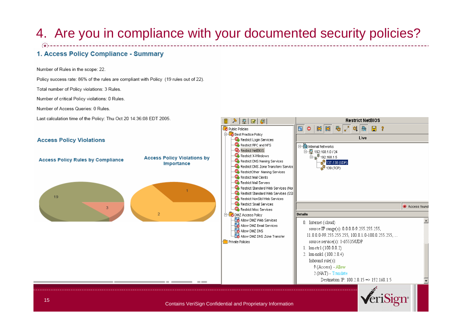## 4. Are you in compliance with your documented security policies?

#### 1. Access Policy Compliance - Summary

Number of Rules in the scope: 22.

Policy success rate: 86% of the rules are compliant with Policy (19 rules out of 22).

Total number of Policy violations: 3 Rules.

Number of critical Policy violations: 0 Rules.

Number of Access Queries: 0 Rules.

Last calculation time of the Policy: Thu Oct 20 14:36:08 EDT 2005.

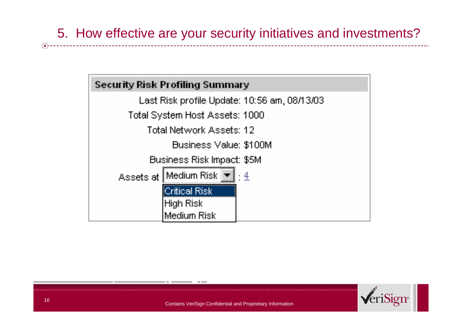

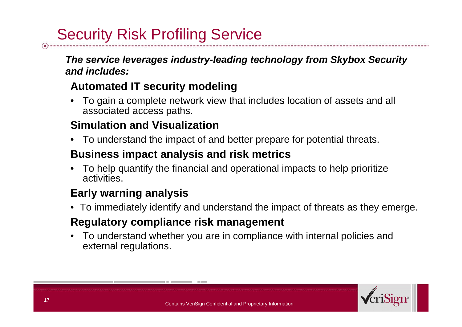# Security Risk Profiling Service

*The service leverages industry-leading technology from Skybox Security and includes:*

### **Automated IT security modeling**

• To gain a complete network view that includes location of assets and all associated access paths.

### **Simulation and Visualization**

•To understand the impact of and better prepare for potential threats.

### **Business impact analysis and risk metrics**

• To help quantify the financial and operational impacts to help prioritize activities.

### **Early warning analysis**

• To immediately identify and understand the impact of threats as they emerge.

### **Regulatory compliance risk management**

• To understand whether you are in compliance with internal policies and external regulations.